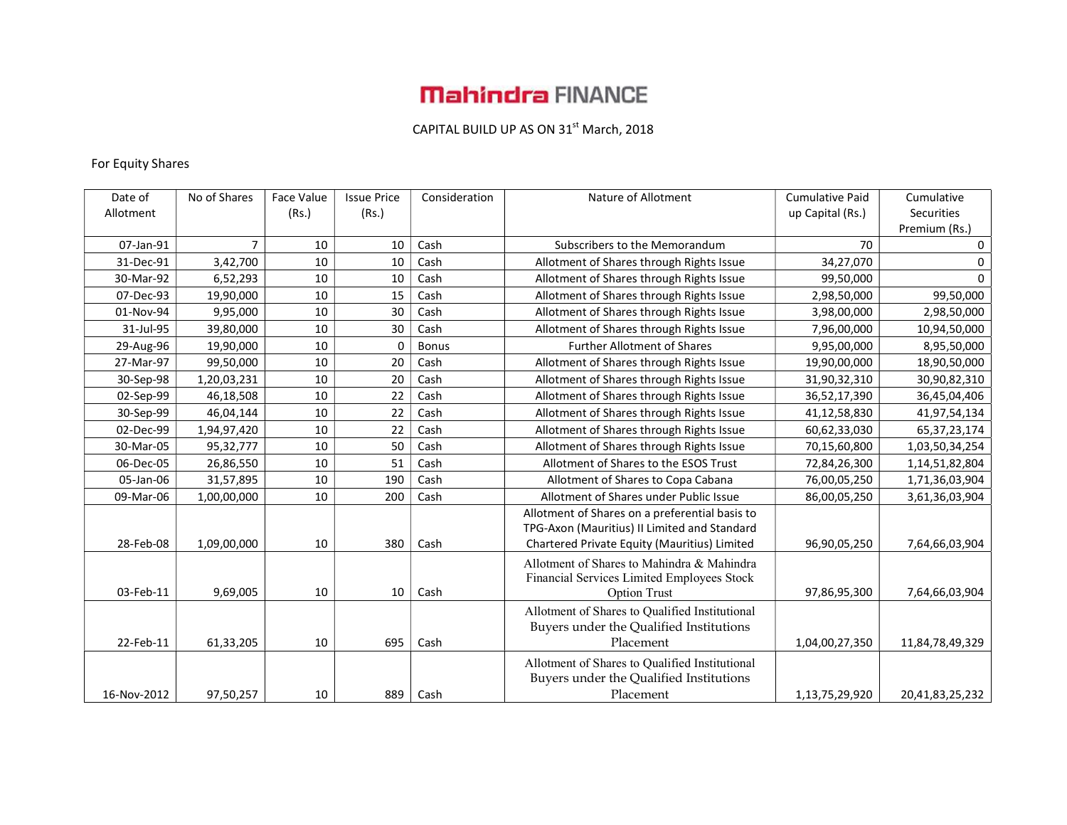# **Mahindra FINANCE**

### CAPITAL BUILD UP AS ON  $31^{st}$  March, 2018

#### For Equity Shares

| Date of     | No of Shares | Face Value | <b>Issue Price</b> | Consideration | Nature of Allotment                            | <b>Cumulative Paid</b> | Cumulative                  |
|-------------|--------------|------------|--------------------|---------------|------------------------------------------------|------------------------|-----------------------------|
| Allotment   |              | (Rs.)      | (Rs.)              |               |                                                | up Capital (Rs.)       | Securities<br>Premium (Rs.) |
| 07-Jan-91   | 7            | 10         | 10                 | Cash          | Subscribers to the Memorandum                  | 70                     | 0                           |
| 31-Dec-91   | 3,42,700     | 10         | 10                 | Cash          | Allotment of Shares through Rights Issue       | 34,27,070              | 0                           |
| 30-Mar-92   | 6,52,293     | 10         | 10                 | Cash          | Allotment of Shares through Rights Issue       | 99,50,000              | $\Omega$                    |
| 07-Dec-93   | 19,90,000    | 10         | 15                 | Cash          | Allotment of Shares through Rights Issue       | 2,98,50,000            | 99,50,000                   |
| 01-Nov-94   | 9,95,000     | 10         | 30                 | Cash          | Allotment of Shares through Rights Issue       | 3,98,00,000            | 2,98,50,000                 |
| 31-Jul-95   | 39,80,000    | 10         | 30                 | Cash          | Allotment of Shares through Rights Issue       | 7,96,00,000            | 10,94,50,000                |
| 29-Aug-96   | 19,90,000    | 10         | $\Omega$           | <b>Bonus</b>  | <b>Further Allotment of Shares</b>             | 9,95,00,000            | 8,95,50,000                 |
| 27-Mar-97   | 99,50,000    | 10         | 20                 | Cash          | Allotment of Shares through Rights Issue       | 19,90,00,000           | 18,90,50,000                |
| 30-Sep-98   | 1,20,03,231  | 10         | 20                 | Cash          | Allotment of Shares through Rights Issue       | 31,90,32,310           | 30,90,82,310                |
| 02-Sep-99   | 46,18,508    | 10         | 22                 | Cash          | Allotment of Shares through Rights Issue       | 36,52,17,390           | 36,45,04,406                |
| 30-Sep-99   | 46,04,144    | 10         | 22                 | Cash          | Allotment of Shares through Rights Issue       | 41,12,58,830           | 41,97,54,134                |
| 02-Dec-99   | 1,94,97,420  | 10         | 22                 | Cash          | Allotment of Shares through Rights Issue       | 60,62,33,030           | 65,37,23,174                |
| 30-Mar-05   | 95,32,777    | 10         | 50                 | Cash          | Allotment of Shares through Rights Issue       | 70,15,60,800           | 1,03,50,34,254              |
| 06-Dec-05   | 26,86,550    | 10         | 51                 | Cash          | Allotment of Shares to the ESOS Trust          | 72,84,26,300           | 1,14,51,82,804              |
| 05-Jan-06   | 31,57,895    | 10         | 190                | Cash          | Allotment of Shares to Copa Cabana             | 76,00,05,250           | 1,71,36,03,904              |
| 09-Mar-06   | 1,00,00,000  | 10         | 200                | Cash          | Allotment of Shares under Public Issue         | 86,00,05,250           | 3,61,36,03,904              |
|             |              |            |                    |               | Allotment of Shares on a preferential basis to |                        |                             |
|             |              |            |                    |               | TPG-Axon (Mauritius) II Limited and Standard   |                        |                             |
| 28-Feb-08   | 1,09,00,000  | 10         | 380                | Cash          | Chartered Private Equity (Mauritius) Limited   | 96,90,05,250           | 7,64,66,03,904              |
|             |              |            |                    |               | Allotment of Shares to Mahindra & Mahindra     |                        |                             |
|             |              |            |                    |               | Financial Services Limited Employees Stock     |                        |                             |
| 03-Feb-11   | 9,69,005     | 10         | 10                 | Cash          | <b>Option Trust</b>                            | 97,86,95,300           | 7,64,66,03,904              |
|             |              |            |                    |               | Allotment of Shares to Qualified Institutional |                        |                             |
|             |              |            |                    |               | Buyers under the Qualified Institutions        |                        |                             |
| 22-Feb-11   | 61,33,205    | 10         | 695                | Cash          | Placement                                      | 1,04,00,27,350         | 11,84,78,49,329             |
|             |              |            |                    |               | Allotment of Shares to Qualified Institutional |                        |                             |
|             |              |            |                    |               | Buyers under the Qualified Institutions        |                        |                             |
| 16-Nov-2012 | 97,50,257    | 10         | 889                | Cash          | Placement                                      | 1,13,75,29,920         | 20,41,83,25,232             |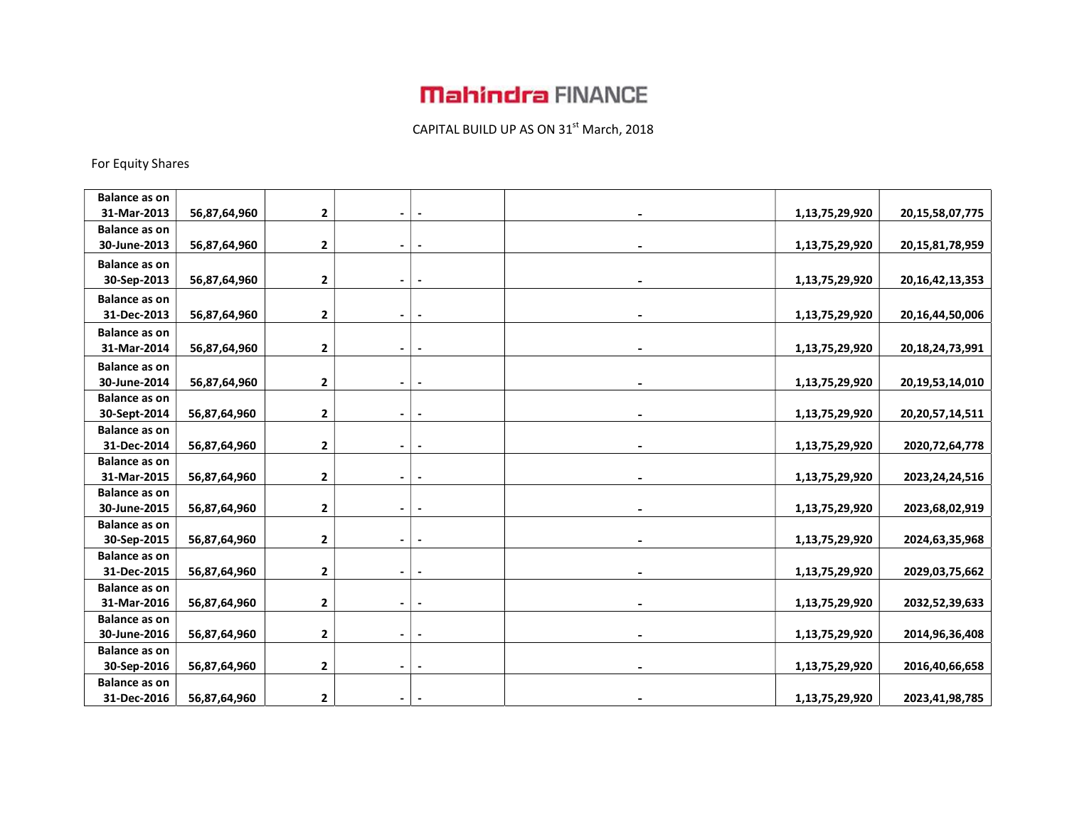# **Mahindra FINANCE**

### CAPITAL BUILD UP AS ON  $31^{st}$  March, 2018

For Equity Shares

| <b>Balance as on</b> |              |              |                |                          |                |                     |
|----------------------|--------------|--------------|----------------|--------------------------|----------------|---------------------|
| 31-Mar-2013          | 56,87,64,960 | 2            | $\blacksquare$ |                          | 1,13,75,29,920 | 20, 15, 58, 07, 775 |
| <b>Balance as on</b> |              |              |                |                          |                |                     |
| 30-June-2013         | 56,87,64,960 | 2            | $\blacksquare$ |                          | 1,13,75,29,920 | 20, 15, 81, 78, 959 |
| <b>Balance as on</b> |              |              |                |                          |                |                     |
| 30-Sep-2013          | 56,87,64,960 | 2            | $\blacksquare$ | $\blacksquare$           | 1,13,75,29,920 | 20, 16, 42, 13, 353 |
| <b>Balance as on</b> |              |              |                |                          |                |                     |
| 31-Dec-2013          | 56,87,64,960 | 2            | $\blacksquare$ |                          | 1,13,75,29,920 | 20, 16, 44, 50, 006 |
| <b>Balance as on</b> |              |              |                |                          |                |                     |
| 31-Mar-2014          | 56,87,64,960 | 2            | $\blacksquare$ | $\overline{\phantom{a}}$ | 1,13,75,29,920 | 20,18,24,73,991     |
| <b>Balance as on</b> |              |              |                |                          |                |                     |
| 30-June-2014         | 56,87,64,960 | 2            | $\blacksquare$ |                          | 1,13,75,29,920 | 20,19,53,14,010     |
| <b>Balance as on</b> |              |              |                |                          |                |                     |
| 30-Sept-2014         | 56,87,64,960 | 2            | $\blacksquare$ |                          | 1,13,75,29,920 | 20, 20, 57, 14, 511 |
| <b>Balance as on</b> |              |              |                |                          |                |                     |
| 31-Dec-2014          | 56,87,64,960 | 2            | $\blacksquare$ |                          | 1,13,75,29,920 | 2020, 72, 64, 778   |
| <b>Balance as on</b> |              |              |                |                          |                |                     |
| 31-Mar-2015          | 56,87,64,960 | 2            |                |                          | 1,13,75,29,920 | 2023, 24, 24, 516   |
| <b>Balance as on</b> |              |              |                |                          |                |                     |
| 30-June-2015         | 56,87,64,960 | 2            | $\blacksquare$ |                          | 1,13,75,29,920 | 2023,68,02,919      |
| <b>Balance as on</b> |              |              |                |                          |                |                     |
| 30-Sep-2015          | 56,87,64,960 | 2            |                |                          | 1,13,75,29,920 | 2024,63,35,968      |
| <b>Balance as on</b> |              |              |                |                          |                |                     |
| 31-Dec-2015          | 56,87,64,960 | 2            | $\blacksquare$ |                          | 1,13,75,29,920 | 2029,03,75,662      |
| <b>Balance as on</b> |              |              |                |                          |                |                     |
| 31-Mar-2016          | 56,87,64,960 | 2            |                |                          | 1,13,75,29,920 | 2032,52,39,633      |
| <b>Balance as on</b> |              |              |                |                          |                |                     |
| 30-June-2016         | 56,87,64,960 | 2            | $\blacksquare$ |                          | 1,13,75,29,920 | 2014, 96, 36, 408   |
| <b>Balance as on</b> |              |              |                |                          |                |                     |
| 30-Sep-2016          | 56,87,64,960 | $\mathbf{2}$ | $\blacksquare$ |                          | 1,13,75,29,920 | 2016,40,66,658      |
| <b>Balance as on</b> |              |              |                |                          |                |                     |
| 31-Dec-2016          | 56,87,64,960 | $\mathbf{2}$ | $\blacksquare$ |                          | 1,13,75,29,920 | 2023,41,98,785      |